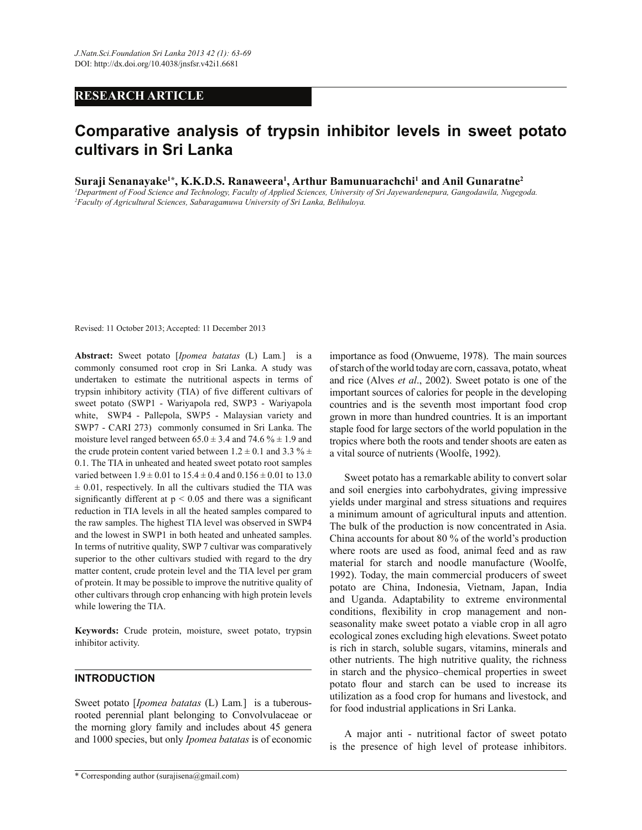# **RESEARCH ARTICLE**

# **Comparative analysis of trypsin inhibitor levels in sweet potato cultivars in Sri Lanka**

**Suraji Senanayake<sup>1</sup>\*, K.K.D.S. Ranaweera<sup>1</sup> , Arthur Bamunuarachchi<sup>1</sup> and Anil Gunaratne<sup>2</sup>**

*<sup>1</sup>Department of Food Science and Technology, Faculty of Applied Sciences, University of Sri Jayewardenepura, Gangodawila, Nugegoda. <sup>2</sup>Faculty of Agricultural Sciences, Sabaragamuwa University of Sri Lanka, Belihuloya.*

Revised: 11 October 2013; Accepted: 11 December 2013

**Abstract:** Sweet potato [*Ipomea batatas* (L) Lam*.*] is a commonly consumed root crop in Sri Lanka. A study was undertaken to estimate the nutritional aspects in terms of trypsin inhibitory activity (TIA) of five different cultivars of sweet potato (SWP1 - Wariyapola red, SWP3 - Wariyapola white, SWP4 - Pallepola, SWP5 - Malaysian variety and SWP7 - CARI 273) commonly consumed in Sri Lanka. The moisture level ranged between  $65.0 \pm 3.4$  and  $74.6 \% \pm 1.9$  and the crude protein content varied between  $1.2 \pm 0.1$  and  $3.3 \% \pm 1.1$ 0.1. The TIA in unheated and heated sweet potato root samples varied between  $1.9 \pm 0.01$  to  $15.4 \pm 0.4$  and  $0.156 \pm 0.01$  to  $13.0$  $\pm$  0.01, respectively. In all the cultivars studied the TIA was significantly different at  $p < 0.05$  and there was a significant reduction in TIA levels in all the heated samples compared to the raw samples. The highest TIA level was observed in SWP4 and the lowest in SWP1 in both heated and unheated samples. In terms of nutritive quality, SWP 7 cultivar was comparatively superior to the other cultivars studied with regard to the dry matter content, crude protein level and the TIA level per gram of protein. It may be possible to improve the nutritive quality of other cultivars through crop enhancing with high protein levels while lowering the TIA.

**Keywords:** Crude protein, moisture, sweet potato, trypsin inhibitor activity.

### **INTRODUCTION**

Sweet potato [*Ipomea batatas* (L) Lam*.*] is a tuberousrooted perennial plant belonging to Convolvulaceae or the morning glory family and includes about 45 genera and 1000 species, but only *Ipomea batatas* is of economic of starch of the world today are corn, cassava, potato, wheat and rice (Alves *et al*., 2002). Sweet potato is one of the important sources of calories for people in the developing countries and is the seventh most important food crop grown in more than hundred countries. It is an important staple food for large sectors of the world population in the tropics where both the roots and tender shoots are eaten as a vital source of nutrients (Woolfe, 1992).

importance as food (Onwueme, 1978). The main sources

 Sweet potato has a remarkable ability to convert solar and soil energies into carbohydrates, giving impressive yields under marginal and stress situations and requires a minimum amount of agricultural inputs and attention. The bulk of the production is now concentrated in Asia. China accounts for about 80 % of the world's production where roots are used as food, animal feed and as raw material for starch and noodle manufacture (Woolfe, 1992). Today, the main commercial producers of sweet potato are China, Indonesia, Vietnam, Japan, India and Uganda. Adaptability to extreme environmental conditions, flexibility in crop management and nonseasonality make sweet potato a viable crop in all agro ecological zones excluding high elevations. Sweet potato is rich in starch, soluble sugars, vitamins, minerals and other nutrients. The high nutritive quality, the richness in starch and the physico–chemical properties in sweet potato flour and starch can be used to increase its utilization as a food crop for humans and livestock, and for food industrial applications in Sri Lanka.

 A major anti - nutritional factor of sweet potato is the presence of high level of protease inhibitors.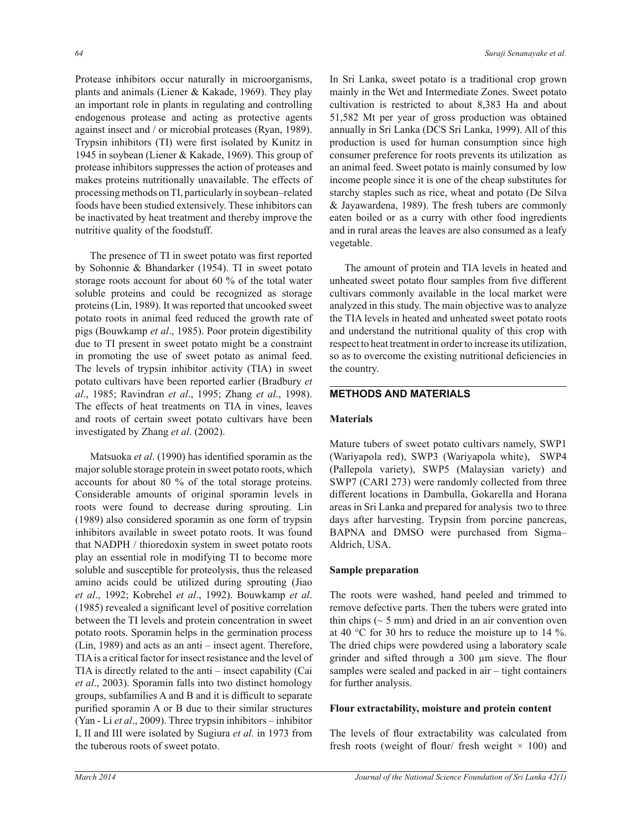Protease inhibitors occur naturally in microorganisms, plants and animals (Liener & Kakade, 1969). They play an important role in plants in regulating and controlling endogenous protease and acting as protective agents against insect and / or microbial proteases (Ryan, 1989). Trypsin inhibitors (TI) were first isolated by Kunitz in 1945 in soybean (Liener & Kakade, 1969). This group of protease inhibitors suppresses the action of proteases and makes proteins nutritionally unavailable. The effects of processing methods on TI, particularly in soybean–related foods have been studied extensively. These inhibitors can be inactivated by heat treatment and thereby improve the nutritive quality of the foodstuff.

 The presence of TI in sweet potato was first reported by Sohonnie & Bhandarker (1954). TI in sweet potato storage roots account for about 60 % of the total water soluble proteins and could be recognized as storage proteins (Lin, 1989). It was reported that uncooked sweet potato roots in animal feed reduced the growth rate of pigs (Bouwkamp *et al*., 1985). Poor protein digestibility due to TI present in sweet potato might be a constraint in promoting the use of sweet potato as animal feed. The levels of trypsin inhibitor activity (TIA) in sweet potato cultivars have been reported earlier (Bradbury *et al*., 1985; Ravindran *et al*., 1995; Zhang *et al*., 1998). The effects of heat treatments on TIA in vines, leaves and roots of certain sweet potato cultivars have been investigated by Zhang *et al*. (2002).

 Matsuoka *et al*. (1990) has identified sporamin as the major soluble storage protein in sweet potato roots, which accounts for about 80 % of the total storage proteins. Considerable amounts of original sporamin levels in roots were found to decrease during sprouting. Lin (1989) also considered sporamin as one form of trypsin inhibitors available in sweet potato roots. It was found that NADPH / thioredoxin system in sweet potato roots play an essential role in modifying TI to become more soluble and susceptible for proteolysis, thus the released amino acids could be utilized during sprouting (Jiao *et al*., 1992; Kobrehel *et al*., 1992). Bouwkamp *et al*. (1985) revealed a significant level of positive correlation between the TI levels and protein concentration in sweet potato roots. Sporamin helps in the germination process (Lin, 1989) and acts as an anti – insect agent. Therefore, TIA is a critical factor for insect resistance and the level of TIA is directly related to the anti – insect capability (Cai *et al*., 2003). Sporamin falls into two distinct homology groups, subfamilies A and B and it is difficult to separate purified sporamin A or B due to their similar structures (Yan - Li *et al*., 2009). Three trypsin inhibitors – inhibitor I, II and III were isolated by Sugiura *et al.* in 1973 from the tuberous roots of sweet potato.

In Sri Lanka, sweet potato is a traditional crop grown mainly in the Wet and Intermediate Zones. Sweet potato cultivation is restricted to about 8,383 Ha and about 51,582 Mt per year of gross production was obtained annually in Sri Lanka (DCS Sri Lanka, 1999). All of this production is used for human consumption since high consumer preference for roots prevents its utilization as an animal feed. Sweet potato is mainly consumed by low income people since it is one of the cheap substitutes for starchy staples such as rice, wheat and potato (De Silva & Jayawardena, 1989). The fresh tubers are commonly eaten boiled or as a curry with other food ingredients and in rural areas the leaves are also consumed as a leafy vegetable.

 The amount of protein and TIA levels in heated and unheated sweet potato flour samples from five different cultivars commonly available in the local market were analyzed in this study. The main objective was to analyze the TIA levels in heated and unheated sweet potato roots and understand the nutritional quality of this crop with respect to heat treatment in order to increase its utilization, so as to overcome the existing nutritional deficiencies in the country.

## **METHODS AND MATERIALS**

### **Materials**

Mature tubers of sweet potato cultivars namely, SWP1 (Wariyapola red), SWP3 (Wariyapola white), SWP4 (Pallepola variety), SWP5 (Malaysian variety) and SWP7 (CARI 273) were randomly collected from three different locations in Dambulla, Gokarella and Horana areas in Sri Lanka and prepared for analysis two to three days after harvesting. Trypsin from porcine pancreas, BAPNA and DMSO were purchased from Sigma– Aldrich, USA.

### **Sample preparation**

The roots were washed, hand peeled and trimmed to remove defective parts. Then the tubers were grated into thin chips  $($   $\sim$  5 mm) and dried in an air convention oven at 40 °C for 30 hrs to reduce the moisture up to 14 %. The dried chips were powdered using a laboratory scale grinder and sifted through a 300 µm sieve. The flour samples were sealed and packed in air – tight containers for further analysis.

#### **Flour extractability, moisture and protein content**

The levels of flour extractability was calculated from fresh roots (weight of flour/ fresh weight  $\times$  100) and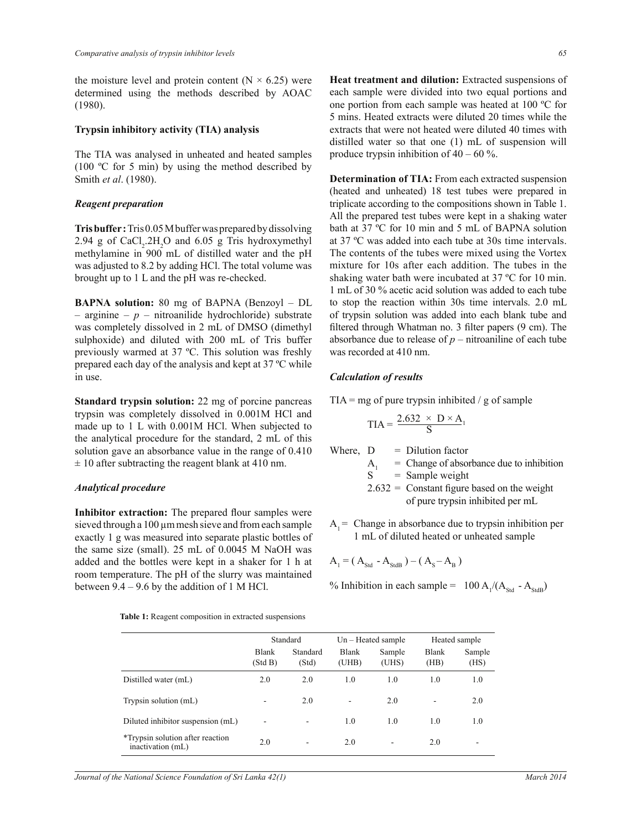the moisture level and protein content ( $N \times 6.25$ ) were determined using the methods described by AOAC (1980).

#### **Trypsin inhibitory activity (TIA) analysis**

The TIA was analysed in unheated and heated samples (100 ºC for 5 min) by using the method described by Smith *et al*. (1980).

#### *Reagent preparation*

**Tris buffer :** Tris 0.05 M buffer was prepared by dissolving 2.94 g of  $CaCl<sub>2</sub>$ .2H<sub>2</sub>O and 6.05 g Tris hydroxymethyl methylamine in 900 mL of distilled water and the pH was adjusted to 8.2 by adding HCl. The total volume was brought up to 1 L and the pH was re-checked.

**BAPNA solution:** 80 mg of BAPNA (Benzoyl – DL – arginine – *p* – nitroanilide hydrochloride) substrate was completely dissolved in 2 mL of DMSO (dimethyl sulphoxide) and diluted with 200 mL of Tris buffer previously warmed at 37 ºC. This solution was freshly prepared each day of the analysis and kept at 37 ºC while in use.

**Standard trypsin solution:** 22 mg of porcine pancreas trypsin was completely dissolved in 0.001M HCl and made up to 1 L with 0.001M HCl. When subjected to the analytical procedure for the standard, 2 mL of this solution gave an absorbance value in the range of 0.410  $\pm$  10 after subtracting the reagent blank at 410 nm.

#### *Analytical procedure*

**Inhibitor extraction:** The prepared flour samples were sieved through a 100  $\mu$ m mesh sieve and from each sample exactly 1 g was measured into separate plastic bottles of the same size (small). 25 mL of 0.0045 M NaOH was added and the bottles were kept in a shaker for 1 h at room temperature. The pH of the slurry was maintained between  $9.4 - 9.6$  by the addition of 1 M HCl.

| Table 1: Reagent composition in extracted suspensions |  |  |
|-------------------------------------------------------|--|--|
|-------------------------------------------------------|--|--|

**Heat treatment and dilution:** Extracted suspensions of each sample were divided into two equal portions and one portion from each sample was heated at 100 ºC for 5 mins. Heated extracts were diluted 20 times while the extracts that were not heated were diluted 40 times with distilled water so that one (1) mL of suspension will produce trypsin inhibition of  $40 - 60$  %.

**Determination of TIA:** From each extracted suspension (heated and unheated) 18 test tubes were prepared in triplicate according to the compositions shown in Table 1. All the prepared test tubes were kept in a shaking water bath at 37 ºC for 10 min and 5 mL of BAPNA solution at 37 ºC was added into each tube at 30s time intervals. The contents of the tubes were mixed using the Vortex mixture for 10s after each addition. The tubes in the shaking water bath were incubated at 37 ºC for 10 min. 1 mL of 30 % acetic acid solution was added to each tube to stop the reaction within 30s time intervals. 2.0 mL of trypsin solution was added into each blank tube and filtered through Whatman no. 3 filter papers (9 cm). The absorbance due to release of  $p$  – nitroaniline of each tube was recorded at 410 nm.

#### *Calculation of results*

 $TIA = mg$  of pure trypsin inhibited / g of sample

$$
TIA = \frac{2.632 \times D \times A_1}{S}
$$

- Where,  $D = Dilution factor$ 
	- $A_1$  = Change of absorbance due to inhibition<br>S = Sample weight
		- $=$  Sample weight
	- $2.632 =$  Constant figure based on the weight of pure trypsin inhibited per mL
- $A_1$  = Change in absorbance due to trypsin inhibition per 1 mL of diluted heated or unheated sample

$$
A_1 = (A_{\text{Std}} - A_{\text{StdB}}) - (A_{\text{S}} - A_{\text{B}})
$$

% Inhibition in each sample =  $100 \text{ A}$ <sub>1</sub>/( $\text{A}$ <sub>Std</sub> -  $\text{A}$ <sub>StdB</sub>)

|                                                       | Standard                |                   | $Un - Heated sample$  |                 | Heated sample        |                |
|-------------------------------------------------------|-------------------------|-------------------|-----------------------|-----------------|----------------------|----------------|
|                                                       | <b>Blank</b><br>(Std B) | Standard<br>(Std) | <b>Blank</b><br>(UHB) | Sample<br>(UHS) | <b>Blank</b><br>(HB) | Sample<br>(HS) |
| Distilled water (mL)                                  | 2.0                     | 2.0               | 1.0                   | 1.0             | 1.0                  | 1.0            |
| Trypsin solution (mL)                                 | ۰                       | 2.0               | ۰                     | 2.0             | -                    | 2.0            |
| Diluted inhibitor suspension (mL)                     | ۰                       | ۰                 | 1.0                   | 1.0             | 1.0                  | 1.0            |
| *Trypsin solution after reaction<br>inactivation (mL) | 2.0                     | ۰                 | 2.0                   | ۰               | 2.0                  |                |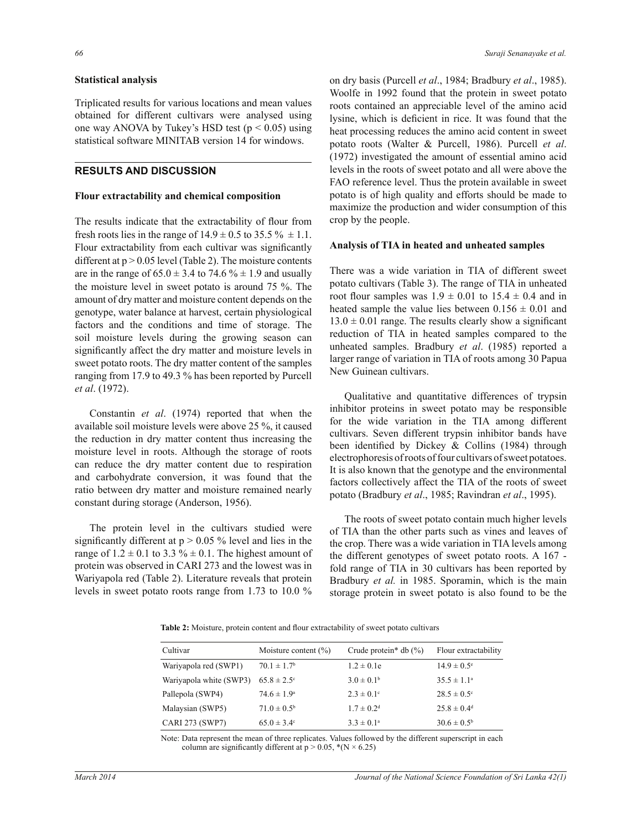#### **Statistical analysis**

Triplicated results for various locations and mean values obtained for different cultivars were analysed using one way ANOVA by Tukey's HSD test  $(p < 0.05)$  using statistical software MINITAB version 14 for windows.

# **RESULTS AND DISCUSSION**

#### **Flour extractability and chemical composition**

The results indicate that the extractability of flour from fresh roots lies in the range of  $14.9 \pm 0.5$  to  $35.5 \% \pm 1.1$ . Flour extractability from each cultivar was significantly different at  $p > 0.05$  level (Table 2). The moisture contents are in the range of  $65.0 \pm 3.4$  to  $74.6 \% \pm 1.9$  and usually the moisture level in sweet potato is around 75 %. The amount of dry matter and moisture content depends on the genotype, water balance at harvest, certain physiological factors and the conditions and time of storage. The soil moisture levels during the growing season can significantly affect the dry matter and moisture levels in sweet potato roots. The dry matter content of the samples ranging from 17.9 to 49.3 % has been reported by Purcell *et al*. (1972).

 Constantin *et al*. (1974) reported that when the available soil moisture levels were above 25 %, it caused the reduction in dry matter content thus increasing the moisture level in roots. Although the storage of roots can reduce the dry matter content due to respiration and carbohydrate conversion, it was found that the ratio between dry matter and moisture remained nearly constant during storage (Anderson, 1956).

 The protein level in the cultivars studied were significantly different at  $p > 0.05$  % level and lies in the range of  $1.2 \pm 0.1$  to  $3.3 \% \pm 0.1$ . The highest amount of protein was observed in CARI 273 and the lowest was in Wariyapola red (Table 2). Literature reveals that protein levels in sweet potato roots range from 1.73 to 10.0 %

on dry basis (Purcell *et al*., 1984; Bradbury *et al*., 1985). Woolfe in 1992 found that the protein in sweet potato roots contained an appreciable level of the amino acid lysine, which is deficient in rice. It was found that the heat processing reduces the amino acid content in sweet potato roots (Walter & Purcell, 1986). Purcell *et al*. (1972) investigated the amount of essential amino acid levels in the roots of sweet potato and all were above the FAO reference level. Thus the protein available in sweet potato is of high quality and efforts should be made to maximize the production and wider consumption of this crop by the people.

#### **Analysis of TIA in heated and unheated samples**

There was a wide variation in TIA of different sweet potato cultivars (Table 3). The range of TIA in unheated root flour samples was  $1.9 \pm 0.01$  to  $15.4 \pm 0.4$  and in heated sample the value lies between  $0.156 \pm 0.01$  and  $13.0 \pm 0.01$  range. The results clearly show a significant reduction of TIA in heated samples compared to the unheated samples. Bradbury *et al*. (1985) reported a larger range of variation in TIA of roots among 30 Papua New Guinean cultivars.

 Qualitative and quantitative differences of trypsin inhibitor proteins in sweet potato may be responsible for the wide variation in the TIA among different cultivars. Seven different trypsin inhibitor bands have been identified by Dickey & Collins (1984) through electrophoresis of roots of four cultivars of sweet potatoes. It is also known that the genotype and the environmental factors collectively affect the TIA of the roots of sweet potato (Bradbury *et al*., 1985; Ravindran *et al*., 1995).

 The roots of sweet potato contain much higher levels of TIA than the other parts such as vines and leaves of the crop. There was a wide variation in TIA levels among the different genotypes of sweet potato roots. A 167 fold range of TIA in 30 cultivars has been reported by Bradbury *et al.* in 1985. Sporamin, which is the main storage protein in sweet potato is also found to be the

**Table 2:** Moisture, protein content and flour extractability of sweet potato cultivars

| Cultivar                | Moisture content $(\% )$    | Crude protein* db $(\%)$   | Flour extractability        |
|-------------------------|-----------------------------|----------------------------|-----------------------------|
| Wariyapola red (SWP1)   | $70.1 \pm 1.7$ <sup>b</sup> | $1.2 \pm 0.1e$             | $14.9 \pm 0.5^{\circ}$      |
| Wariyapola white (SWP3) | $65.8 \pm 2.5$ <sup>c</sup> | $3.0 \pm 0.1^b$            | $35.5 \pm 1.1^{\circ}$      |
| Pallepola (SWP4)        | $74.6 \pm 1.9^{\circ}$      | $2.3 \pm 0.1$ °            | $28.5 \pm 0.5^{\circ}$      |
| Malaysian (SWP5)        | $71.0 \pm 0.5^{\rm b}$      | $1.7 \pm 0.2$ <sup>d</sup> | $25.8 \pm 0.4$ <sup>d</sup> |
| CARI 273 (SWP7)         | $65.0 \pm 3.4$ °            | $3.3 \pm 0.1^{\circ}$      | $30.6 \pm 0.5^{\rm b}$      |

Note: Data represent the mean of three replicates. Values followed by the different superscript in each column are significantly different at  $p > 0.05$ ,  $*(N \times 6.25)$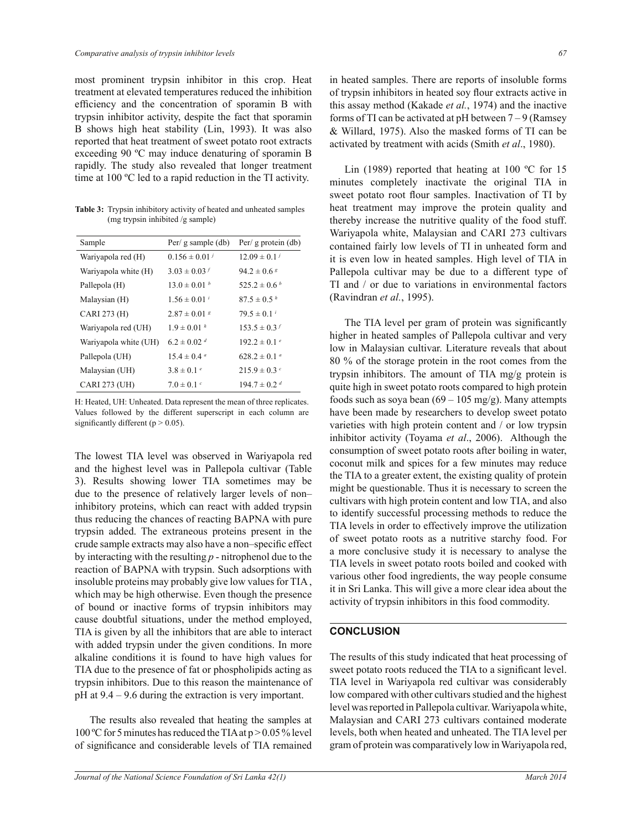most prominent trypsin inhibitor in this crop. Heat treatment at elevated temperatures reduced the inhibition efficiency and the concentration of sporamin B with trypsin inhibitor activity, despite the fact that sporamin B shows high heat stability (Lin, 1993). It was also reported that heat treatment of sweet potato root extracts exceeding 90 ºC may induce denaturing of sporamin B rapidly. The study also revealed that longer treatment time at 100 ºC led to a rapid reduction in the TI activity.

**Table 3:** Trypsin inhibitory activity of heated and unheated samples (mg trypsin inhibited /g sample)

| Per/ $g$ sample (db)        | Per/ $g$ protein (db)        |
|-----------------------------|------------------------------|
| $0.156 \pm 0.01^j$          | $12.09 \pm 0.1^j$            |
| $3.03 \pm 0.03$ f           | $94.2 \pm 0.6$ s             |
| $13.0 \pm 0.01^b$           | $525.2 \pm 0.6^b$            |
| $1.56 \pm 0.01^i$           | $87.5 \pm 0.5 h$             |
| $2.87 \pm 0.01$ s           | $79.5 \pm 0.1^i$             |
| $1.9 \pm 0.01 h$            | $153.5 \pm 0.3$              |
| $6.2 \pm 0.02$ <sup>d</sup> | $192.2 \pm 0.1^e$            |
| $15.4 \pm 0.4$ <sup>a</sup> | $628.2 \pm 0.1$ <sup>a</sup> |
| $3.8 \pm 0.1^e$             | $215.9 \pm 0.3$ c            |
| $7.0 \pm 0.1$ c             | $194.7 \pm 0.2$ <sup>d</sup> |
|                             |                              |

H: Heated, UH: Unheated. Data represent the mean of three replicates. Values followed by the different superscript in each column are significantly different ( $p > 0.05$ ).

The lowest TIA level was observed in Wariyapola red and the highest level was in Pallepola cultivar (Table 3). Results showing lower TIA sometimes may be due to the presence of relatively larger levels of non– inhibitory proteins, which can react with added trypsin thus reducing the chances of reacting BAPNA with pure trypsin added. The extraneous proteins present in the crude sample extracts may also have a non–specific effect by interacting with the resulting *p* - nitrophenol due to the reaction of BAPNA with trypsin. Such adsorptions with insoluble proteins may probably give low values for TIA , which may be high otherwise. Even though the presence of bound or inactive forms of trypsin inhibitors may cause doubtful situations, under the method employed, TIA is given by all the inhibitors that are able to interact with added trypsin under the given conditions. In more alkaline conditions it is found to have high values for TIA due to the presence of fat or phospholipids acting as trypsin inhibitors. Due to this reason the maintenance of pH at 9.4 – 9.6 during the extraction is very important.

 The results also revealed that heating the samples at 100 ºC for 5 minutes has reduced the TIA at p > 0.05 % level of significance and considerable levels of TIA remained in heated samples. There are reports of insoluble forms of trypsin inhibitors in heated soy flour extracts active in this assay method (Kakade *et al.*, 1974) and the inactive forms of TI can be activated at  $pH$  between  $7-9$  (Ramsey & Willard, 1975). Also the masked forms of TI can be activated by treatment with acids (Smith *et al*., 1980).

 Lin (1989) reported that heating at 100 ºC for 15 minutes completely inactivate the original TIA in sweet potato root flour samples. Inactivation of TI by heat treatment may improve the protein quality and thereby increase the nutritive quality of the food stuff. Wariyapola white, Malaysian and CARI 273 cultivars contained fairly low levels of TI in unheated form and it is even low in heated samples. High level of TIA in Pallepola cultivar may be due to a different type of TI and / or due to variations in environmental factors (Ravindran *et al.*, 1995).

 The TIA level per gram of protein was significantly higher in heated samples of Pallepola cultivar and very low in Malaysian cultivar. Literature reveals that about 80 % of the storage protein in the root comes from the trypsin inhibitors. The amount of TIA mg/g protein is quite high in sweet potato roots compared to high protein foods such as soya bean  $(69 - 105 \text{ mg/g})$ . Many attempts have been made by researchers to develop sweet potato varieties with high protein content and / or low trypsin inhibitor activity (Toyama *et al*., 2006). Although the consumption of sweet potato roots after boiling in water, coconut milk and spices for a few minutes may reduce the TIA to a greater extent, the existing quality of protein might be questionable. Thus it is necessary to screen the cultivars with high protein content and low TIA, and also to identify successful processing methods to reduce the TIA levels in order to effectively improve the utilization of sweet potato roots as a nutritive starchy food. For a more conclusive study it is necessary to analyse the TIA levels in sweet potato roots boiled and cooked with various other food ingredients, the way people consume it in Sri Lanka. This will give a more clear idea about the activity of trypsin inhibitors in this food commodity.

## **CONCLUSION**

The results of this study indicated that heat processing of sweet potato roots reduced the TIA to a significant level. TIA level in Wariyapola red cultivar was considerably low compared with other cultivars studied and the highest level was reported in Pallepola cultivar. Wariyapola white, Malaysian and CARI 273 cultivars contained moderate levels, both when heated and unheated. The TIA level per gram of protein was comparatively low in Wariyapola red,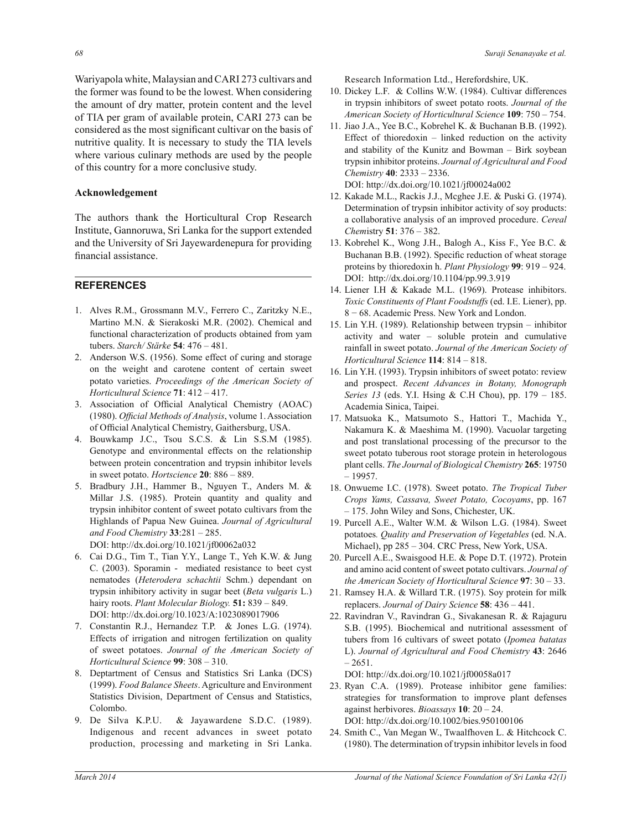Wariyapola white, Malaysian and CARI 273 cultivars and the former was found to be the lowest. When considering the amount of dry matter, protein content and the level of TIA per gram of available protein, CARI 273 can be considered as the most significant cultivar on the basis of nutritive quality. It is necessary to study the TIA levels where various culinary methods are used by the people of this country for a more conclusive study.

## **Acknowledgement**

The authors thank the Horticultural Crop Research Institute, Gannoruwa, Sri Lanka for the support extended and the University of Sri Jayewardenepura for providing financial assistance.

### **REFERENCES**

- 1. Alves R.M., Grossmann M.V., Ferrero C., Zaritzky N.E., Martino M.N. & Sierakoski M.R. (2002). Chemical and functional characterization of products obtained from yam tubers. *Starch/ Stärke* **54**: 476 – 481.
- 2. Anderson W.S. (1956). Some effect of curing and storage on the weight and carotene content of certain sweet potato varieties. *Proceedings of the American Society of Horticultural Science* **71**: 412 – 417.
- 3. Association of Official Analytical Chemistry (AOAC) (1980). *Official Methods of Analysis*, volume 1. Association of Official Analytical Chemistry, Gaithersburg, USA.
- 4. Bouwkamp J.C., Tsou S.C.S. & Lin S.S.M (1985). Genotype and environmental effects on the relationship between protein concentration and trypsin inhibitor levels in sweet potato. *Hortscience* **20**: 886 – 889.
- 5. Bradbury J.H., Hammer B., Nguyen T., Anders M. & Millar J.S. (1985). Protein quantity and quality and trypsin inhibitor content of sweet potato cultivars from the Highlands of Papua New Guinea. *Journal of Agricultural and Food Chemistry* **33**:281 – 285. DOI: http://dx.doi.org/10.1021/jf00062a032
- 6. Cai D.G., Tim T., Tian Y.Y., Lange T., Yeh K.W. & Jung C. (2003). Sporamin - mediated resistance to beet cyst nematodes (*Heterodera schachtii* Schm.) dependant on trypsin inhibitory activity in sugar beet (*Beta vulgaris* L.) hairy roots. *Plant Molecular Biology.* **51:** 839 – 849. DOI: http://dx.doi.org/10.1023/A:1023089017906
- 7. Constantin R.J., Hernandez T.P. & Jones L.G. (1974). Effects of irrigation and nitrogen fertilization on quality of sweet potatoes. *Journal of the American Society of Horticultural Science* **99**: 308 – 310.
- 8. Deptartment of Census and Statistics Sri Lanka (DCS) (1999). *Food Balance Sheets*. Agriculture and Environment Statistics Division, Department of Census and Statistics, Colombo.
- 9. De Silva K.P.U. & Jayawardene S.D.C. (1989). Indigenous and recent advances in sweet potato production, processing and marketing in Sri Lanka.

Research Information Ltd., Herefordshire, UK.

- 10. Dickey L.F. & Collins W.W. (1984). Cultivar differences in trypsin inhibitors of sweet potato roots. *Journal of the American Society of Horticultural Science* **109**: 750 – 754.
- 11. Jiao J.A., Yee B.C., Kobrehel K. & Buchanan B.B. (1992). Effect of thioredoxin – linked reduction on the activity and stability of the Kunitz and Bowman – Birk soybean trypsin inhibitor proteins. *Journal of Agricultural and Food Chemistry* **40**: 2333 – 2336. DOI: http://dx.doi.org/10.1021/jf00024a002
- 12. Kakade M.L., Rackis J.J., Mcghee J.E. & Puski G. (1974). Determination of trypsin inhibitor activity of soy products: a collaborative analysis of an improved procedure. *Cereal Chem*istry **51**: 376 – 382.
- 13. Kobrehel K., Wong J.H., Balogh A., Kiss F., Yee B.C. & Buchanan B.B. (1992). Specific reduction of wheat storage proteins by thioredoxin h. *Plant Physiology* **99**: 919 – 924. DOI: http://dx.doi.org/10.1104/pp.99.3.919
- 14. Liener I.H & Kakade M.L. (1969). Protease inhibitors. *Toxic Constituents of Plant Foodstuffs* (ed. I.E. Liener), pp. 8 − 68. Academic Press. New York and London.
- 15. Lin Y.H. (1989). Relationship between trypsin inhibitor activity and water – soluble protein and cumulative rainfall in sweet potato. *Journal of the American Society of Horticultural Science* **114**: 814 – 818.
- 16. Lin Y.H. (1993). Trypsin inhibitors of sweet potato: review and prospect. *Recent Advances in Botany, Monograph Series 13* (eds. Y.I. Hsing & C.H Chou), pp. 179 – 185. Academia Sinica, Taipei.
- 17. Matsuoka K., Matsumoto S., Hattori T., Machida Y., Nakamura K. & Maeshima M. (1990). Vacuolar targeting and post translational processing of the precursor to the sweet potato tuberous root storage protein in heterologous plant cells. *The Journal of Biological Chemistry* **265**: 19750 – 19957.
- 18. Onwueme I.C. (1978). Sweet potato. *The Tropical Tuber Crops Yams, Cassava, Sweet Potato, Cocoyams*, pp. 167 – 175. John Wiley and Sons, Chichester, UK.
- 19. Purcell A.E., Walter W.M. & Wilson L.G. (1984). Sweet potatoes*. Quality and Preservation of Vegetables* (ed. N.A. Michael), pp 285 – 304. CRC Press, New York, USA.
- 20. Purcell A.E., Swaisgood H.E. & Pope D.T. (1972). Protein and amino acid content of sweet potato cultivars. *Journal of the American Society of Horticultural Science* **97**: 30 – 33.
- 21. Ramsey H.A. & Willard T.R. (1975). Soy protein for milk replacers. *Journal of Dairy Science* **58**: 436 – 441.
- 22. Ravindran V., Ravindran G., Sivakanesan R. & Rajaguru S.B. (1995). Biochemical and nutritional assessment of tubers from 16 cultivars of sweet potato (*Ipomea batatas* L). *Journal of Agricultural and Food Chemistry* **43**: 2646  $-2651.$

DOI: http://dx.doi.org/10.1021/jf00058a017

- 23. Ryan C.A. (1989). Protease inhibitor gene families: strategies for transformation to improve plant defenses against herbivores. *Bioassays* **10**: 20 – 24. DOI: http://dx.doi.org/10.1002/bies.950100106
- 24. Smith C., Van Megan W., Twaalfhoven L. & Hitchcock C. (1980). The determination of trypsin inhibitor levels in food